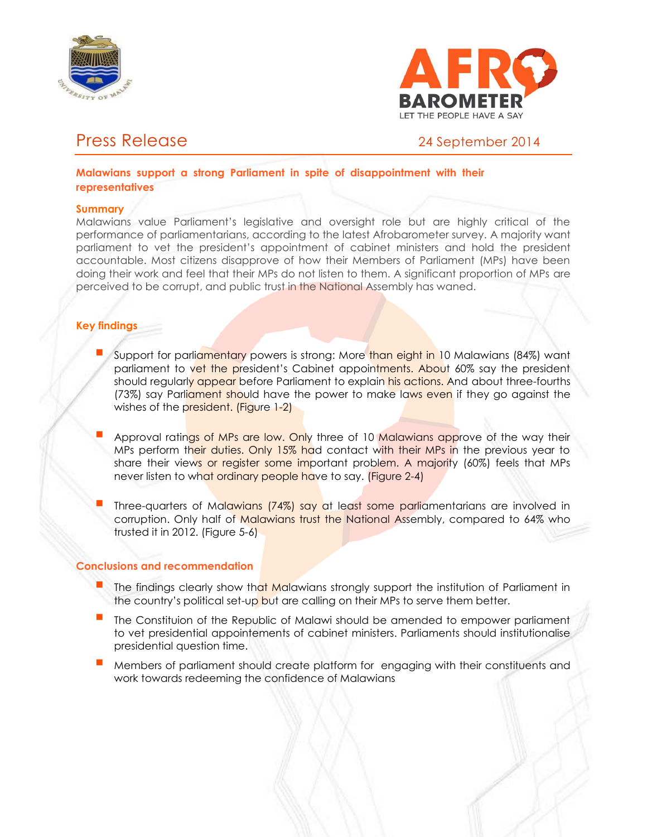



# Press Release 24 September 2014

**Malawians support a strong Parliament in spite of disappointment with their representatives**

### **Summary**

Malawians value Parliament's legislative and oversight role but are highly critical of the performance of parliamentarians, according to the latest Afrobarometer survey. A majority want parliament to vet the president's appointment of cabinet ministers and hold the president accountable. Most citizens disapprove of how their Members of Parliament (MPs) have been doing their work and feel that their MPs do not listen to them. A significant proportion of MPs are perceived to be corrupt, and public trust in the National Assembly has waned.

# **Key findings**

- Support for parliamentary powers is strong: More than eight in 10 Malawians (84%) want parliament to vet the president's Cabinet appointments. About 60% say the president should regularly appear before Parliament to explain his actions. And about three-fourths (73%) say Parliament should have the power to make laws even if they go against the wishes of the president. (Figure 1-2)
- Approval ratings of MPs are low. Only three of 10 Malawians approve of the way their MPs perform their duties. Only 15% had contact with their MPs in the previous year to share their views or register some important problem. A majority (60%) feels that MPs never listen to what ordinary people have to say. (Figure 2-4)
- Three-quarters of Malawians (74%) say at least some parliamentarians are involved in corruption. Only half of Malawians trust the National Assembly, compared to 64% who trusted it in 2012. (Figure 5-6)

# **Conclusions and recommendation**

- The findings clearly show that Malawians strongly support the institution of Parliament in the country's political set-up but are calling on their MPs to serve them better.
- The Constituion of the Republic of Malawi should be amended to empower parliament to vet presidential appointements of cabinet ministers. Parliaments should institutionalise presidential question time.
- Members of parliament should create platform for engaging with their constituents and work towards redeeming the confidence of Malawians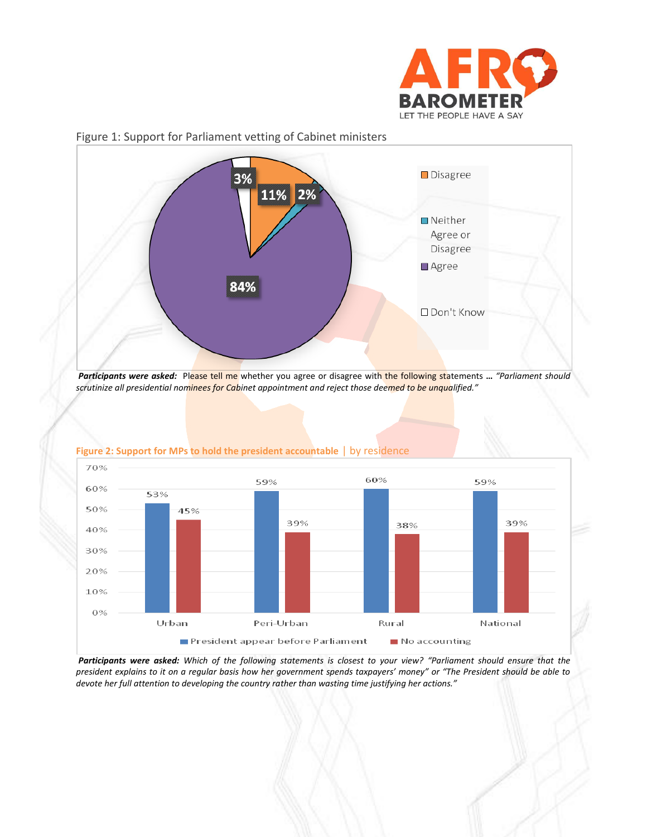



# Figure 1: Support for Parliament vetting of Cabinet ministers



#### **Figure 2: Support for MPs to hold the president accountable** | by residence

*scrutinize all presidential nominees for Cabinet appointment and reject those deemed to be unqualified."*

*Participants were asked: Which of the following statements is closest to your view? "Parliament should ensure that the president explains to it on a regular basis how her government spends taxpayers' money" or "The President should be able to devote her full attention to developing the country rather than wasting time justifying her actions."*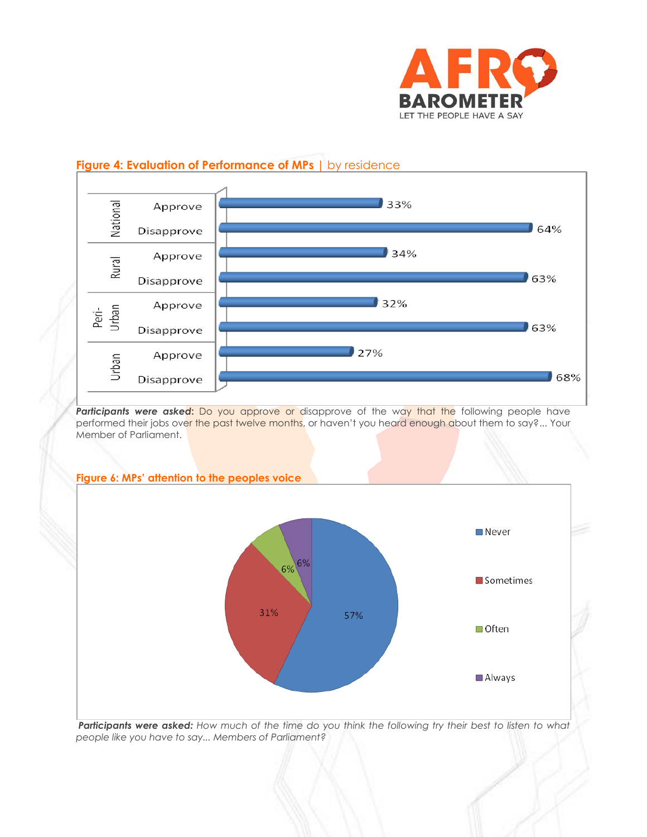

#### National  $33%$ Approve  $64%$ Disapprove  $34%$ Approve Rural 63% Disapprove  $32%$ Approve Peri-<br>Urban 63% Disapprove 27% Approve Urban  $\bigcup 68\%$ Disapprove

# **Figure 4: Evaluation of Performance of MPs** | by residence

Participants were asked: Do you approve or disapprove of the way that the following people have performed their jobs over the past twelve months, or haven't you heard enough about them to say?... Your Member of Parliament.



*Participants were asked: How much of the time do you think the following try their best to listen to what people like you have to say... Members of Parliament?*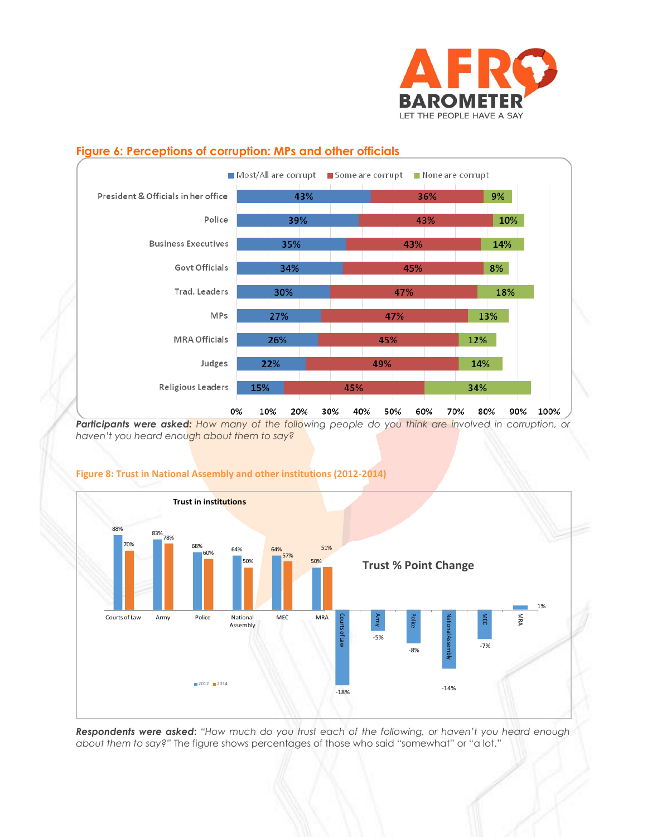

# **Figure 6: Perceptions of corruption: MPs and other officials**



**Participants were asked:** How many of the following people do you think are involved in corruption, or *haven't you heard enough about them to say?*



#### **Figure 8: Trust in National Assembly and other institutions (2012-2014)**

*Respondents were asked***:** *"How much do you trust each of the following, or haven't you heard enough about them to say?"* The figure shows percentages of those who said "somewhat" or "a lot."